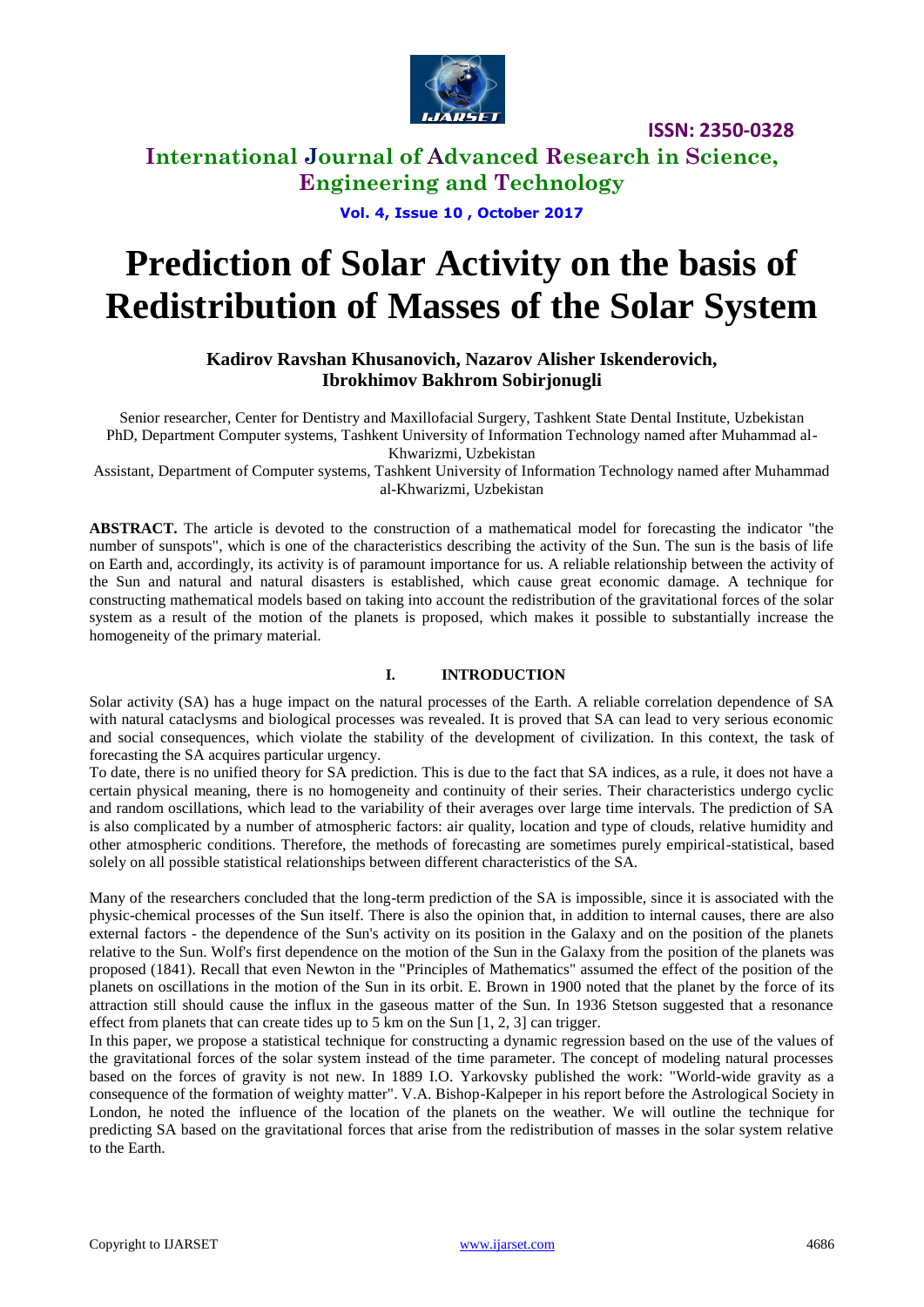

### **International Journal of Advanced Research in Science, Engineering and Technology**

**Vol. 4, Issue 10 , October 2017**

# **Prediction of Solar Activity on the basis of Redistribution of Masses of the Solar System**

#### **Kadirov Ravshan Khusanovich, Nazarov Alisher Iskenderovich, Ibrokhimov Bakhrom Sobirjonugli**

Senior researcher, Center for Dentistry and Maxillofacial Surgery, Tashkent State Dental Institute, Uzbekistan PhD, Department Computer systems, Tashkent University of Information Technology named after Muhammad al-Khwarizmi, Uzbekistan

Assistant, Department of Computer systems, Tashkent University of Information Technology named after Muhammad al-Khwarizmi, Uzbekistan

**ABSTRACT.** The article is devoted to the construction of a mathematical model for forecasting the indicator "the number of sunspots", which is one of the characteristics describing the activity of the Sun. The sun is the basis of life on Earth and, accordingly, its activity is of paramount importance for us. A reliable relationship between the activity of the Sun and natural and natural disasters is established, which cause great economic damage. A technique for constructing mathematical models based on taking into account the redistribution of the gravitational forces of the solar system as a result of the motion of the planets is proposed, which makes it possible to substantially increase the homogeneity of the primary material.

#### **I. INTRODUCTION**

Solar activity (SA) has a huge impact on the natural processes of the Earth. A reliable correlation dependence of SA with natural cataclysms and biological processes was revealed. It is proved that SA can lead to very serious economic and social consequences, which violate the stability of the development of civilization. In this context, the task of forecasting the SA acquires particular urgency.

To date, there is no unified theory for SA prediction. This is due to the fact that SA indices, as a rule, it does not have a certain physical meaning, there is no homogeneity and continuity of their series. Their characteristics undergo cyclic and random oscillations, which lead to the variability of their averages over large time intervals. The prediction of SA is also complicated by a number of atmospheric factors: air quality, location and type of clouds, relative humidity and other atmospheric conditions. Therefore, the methods of forecasting are sometimes purely empirical-statistical, based solely on all possible statistical relationships between different characteristics of the SA.

Many of the researchers concluded that the long-term prediction of the SA is impossible, since it is associated with the physic-chemical processes of the Sun itself. There is also the opinion that, in addition to internal causes, there are also external factors - the dependence of the Sun's activity on its position in the Galaxy and on the position of the planets relative to the Sun. Wolf's first dependence on the motion of the Sun in the Galaxy from the position of the planets was proposed (1841). Recall that even Newton in the "Principles of Mathematics" assumed the effect of the position of the planets on oscillations in the motion of the Sun in its orbit. E. Brown in 1900 noted that the planet by the force of its attraction still should cause the influx in the gaseous matter of the Sun. In 1936 Stetson suggested that a resonance effect from planets that can create tides up to 5 km on the Sun  $[1, 2, 3]$  can trigger.

In this paper, we propose a statistical technique for constructing a dynamic regression based on the use of the values of the gravitational forces of the solar system instead of the time parameter. The concept of modeling natural processes based on the forces of gravity is not new. In 1889 I.O. Yarkovsky published the work: "World-wide gravity as a consequence of the formation of weighty matter". V.A. Bishop-Kalpeper in his report before the Astrological Society in London, he noted the influence of the location of the planets on the weather. We will outline the technique for predicting SA based on the gravitational forces that arise from the redistribution of masses in the solar system relative to the Earth.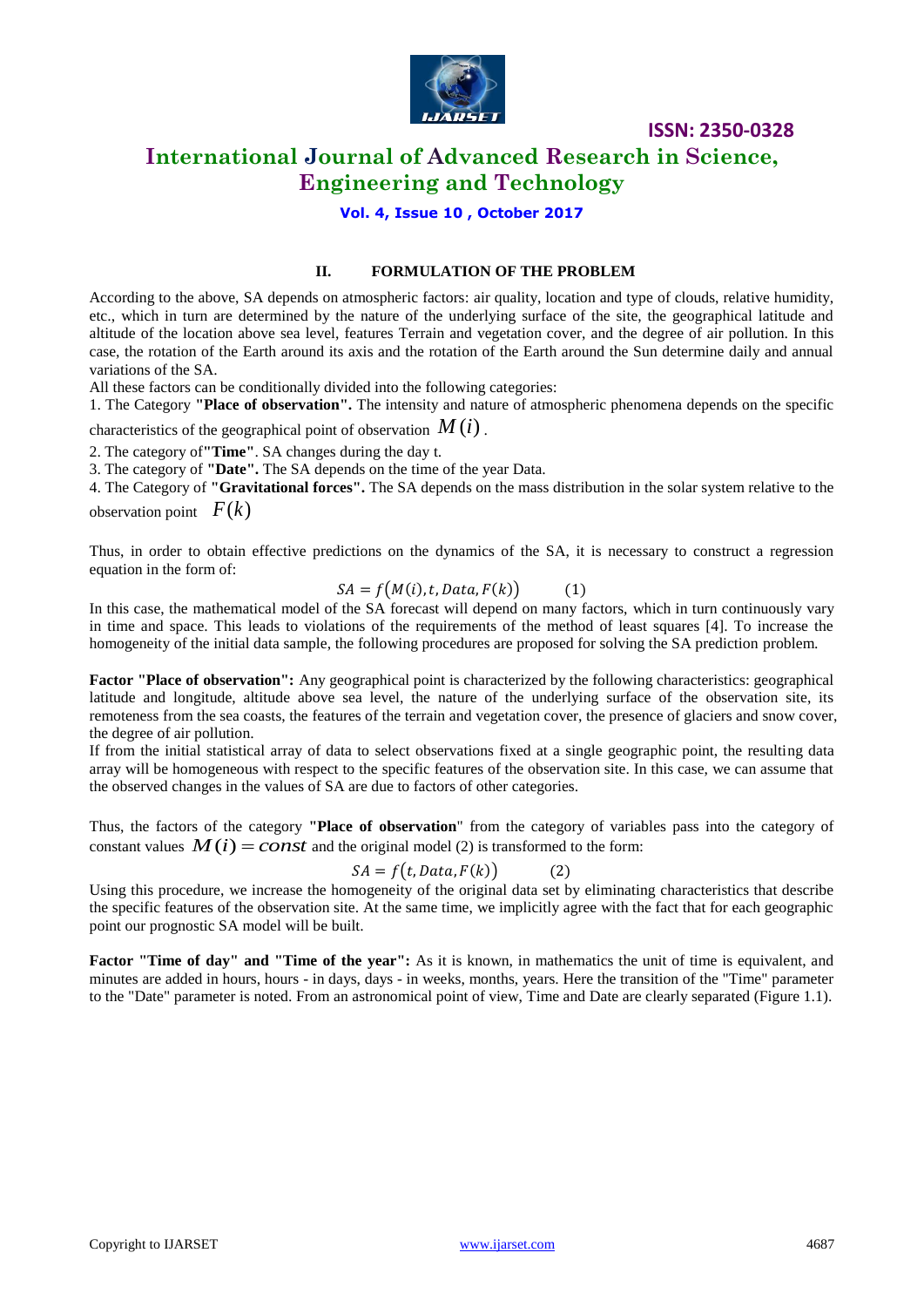

### **International Journal of Advanced Research in Science, Engineering and Technology**

#### **Vol. 4, Issue 10 , October 2017**

#### **II. FORMULATION OF THE PROBLEM**

According to the above, SA depends on atmospheric factors: air quality, location and type of clouds, relative humidity, etc., which in turn are determined by the nature of the underlying surface of the site, the geographical latitude and altitude of the location above sea level, features Terrain and vegetation cover, and the degree of air pollution. In this case, the rotation of the Earth around its axis and the rotation of the Earth around the Sun determine daily and annual variations of the SA.

All these factors can be conditionally divided into the following categories:

1. The Category **"Place of observation".** The intensity and nature of atmospheric phenomena depends on the specific

characteristics of the geographical point of observation *M* (*i*) .

2. The category of**"Time"**. SA changes during the day t.

3. The category of **"Date".** The SA depends on the time of the year Data.

4. The Category of **"Gravitational forces".** The SA depends on the mass distribution in the solar system relative to the observation point  $F(k)$ 

Thus, in order to obtain effective predictions on the dynamics of the SA, it is necessary to construct a regression equation in the form of:

$$
SA = f(M(i), t, Data, F(k)) \tag{1}
$$

In this case, the mathematical model of the SA forecast will depend on many factors, which in turn continuously vary in time and space. This leads to violations of the requirements of the method of least squares [4]. To increase the homogeneity of the initial data sample, the following procedures are proposed for solving the SA prediction problem.

**Factor "Place of observation":** Any geographical point is characterized by the following characteristics: geographical latitude and longitude, altitude above sea level, the nature of the underlying surface of the observation site, its remoteness from the sea coasts, the features of the terrain and vegetation cover, the presence of glaciers and snow cover, the degree of air pollution.

If from the initial statistical array of data to select observations fixed at a single geographic point, the resulting data array will be homogeneous with respect to the specific features of the observation site. In this case, we can assume that the observed changes in the values of SA are due to factors of other categories.

Thus, the factors of the category **"Place of observation**" from the category of variables pass into the category of constant values  $M(i) = const$  and the original model (2) is transformed to the form:

$$
SA = f(t, Data, F(k))
$$
 (2)

Using this procedure, we increase the homogeneity of the original data set by eliminating characteristics that describe the specific features of the observation site. At the same time, we implicitly agree with the fact that for each geographic point our prognostic SA model will be built.

**Factor "Time of day" and "Time of the year":** As it is known, in mathematics the unit of time is equivalent, and minutes are added in hours, hours - in days, days - in weeks, months, years. Here the transition of the "Time" parameter to the "Date" parameter is noted. From an astronomical point of view, Time and Date are clearly separated (Figure 1.1).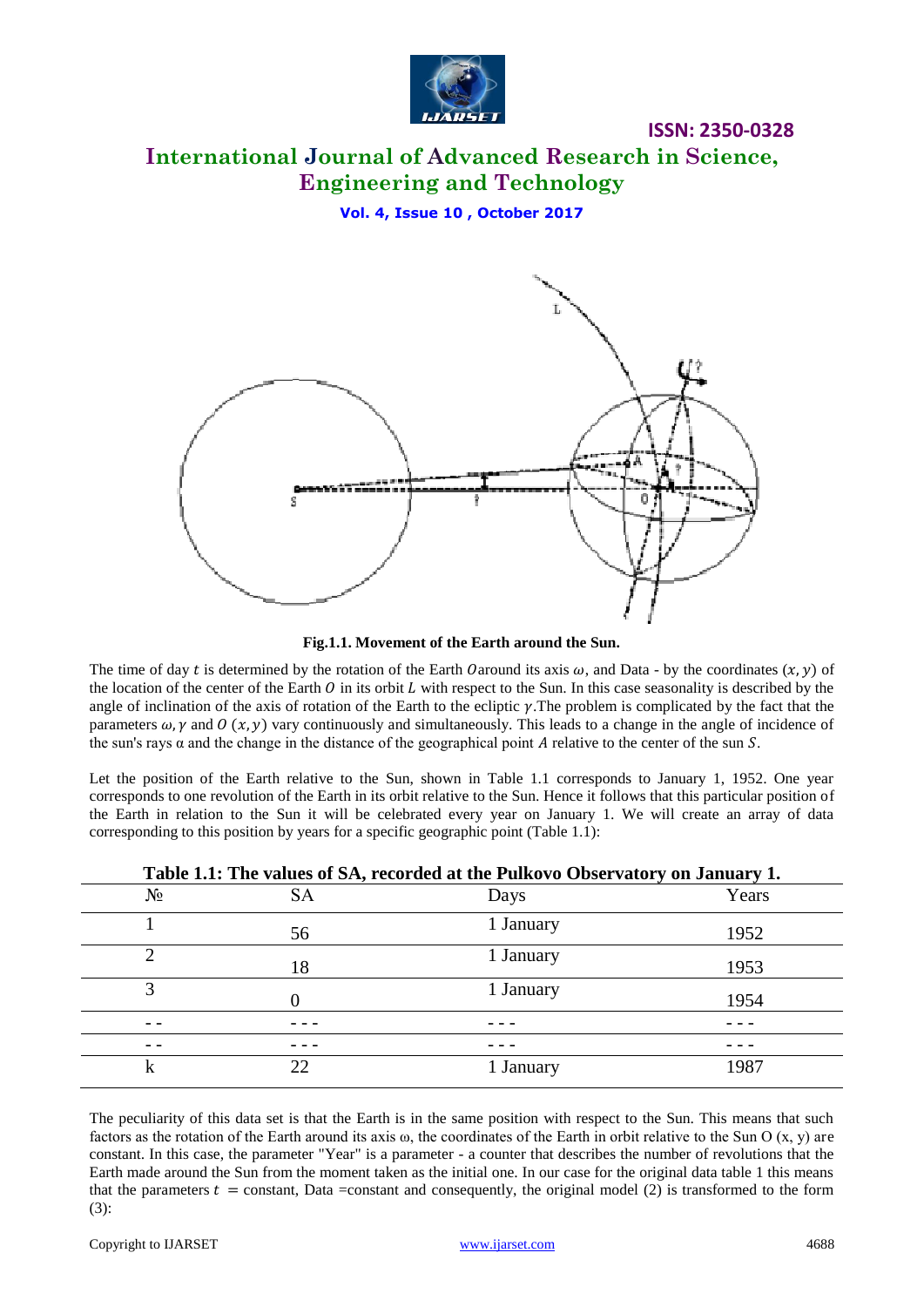

# **International Journal of Advanced Research in Science, Engineering and Technology**

**Vol. 4, Issue 10 , October 2017**



**Fig.1.1. Movement of the Earth around the Sun.**

The time of day t is determined by the rotation of the Earth Oaround its axis  $\omega$ , and Data - by the coordinates  $(x, y)$  of the location of the center of the Earth  $\theta$  in its orbit  $L$  with respect to the Sun. In this case seasonality is described by the angle of inclination of the axis of rotation of the Earth to the ecliptic  $\gamma$ . The problem is complicated by the fact that the parameters  $\omega$ ,  $\gamma$  and  $\theta$  (x,  $\gamma$ ) vary continuously and simultaneously. This leads to a change in the angle of incidence of the sun's rays  $\alpha$  and the change in the distance of the geographical point A relative to the center of the sun S.

Let the position of the Earth relative to the Sun, shown in Table 1.1 corresponds to January 1, 1952. One year corresponds to one revolution of the Earth in its orbit relative to the Sun. Hence it follows that this particular position of the Earth in relation to the Sun it will be celebrated every year on January 1. We will create an array of data corresponding to this position by years for a specific geographic point (Table 1.1):

|       | Table 1.1: The values of SA, recorded at the Pulkovo Observatory on January 1. |           |       |  |  |  |  |  |  |  |
|-------|--------------------------------------------------------------------------------|-----------|-------|--|--|--|--|--|--|--|
| $N_2$ | <b>SA</b>                                                                      | Days      | Years |  |  |  |  |  |  |  |
|       | 56                                                                             | 1 January | 1952  |  |  |  |  |  |  |  |
| 2     | 18                                                                             | 1 January | 1953  |  |  |  |  |  |  |  |
| 3     |                                                                                | 1 January | 1954  |  |  |  |  |  |  |  |
|       |                                                                                |           |       |  |  |  |  |  |  |  |
|       |                                                                                |           |       |  |  |  |  |  |  |  |
| k     | 22                                                                             | 1 January | 1987  |  |  |  |  |  |  |  |

The peculiarity of this data set is that the Earth is in the same position with respect to the Sun. This means that such factors as the rotation of the Earth around its axis  $\omega$ , the coordinates of the Earth in orbit relative to the Sun O (x, y) are constant. In this case, the parameter "Year" is a parameter - a counter that describes the number of revolutions that the Earth made around the Sun from the moment taken as the initial one. In our case for the original data table 1 this means that the parameters  $t =$  constant, Data = constant and consequently, the original model (2) is transformed to the form (3):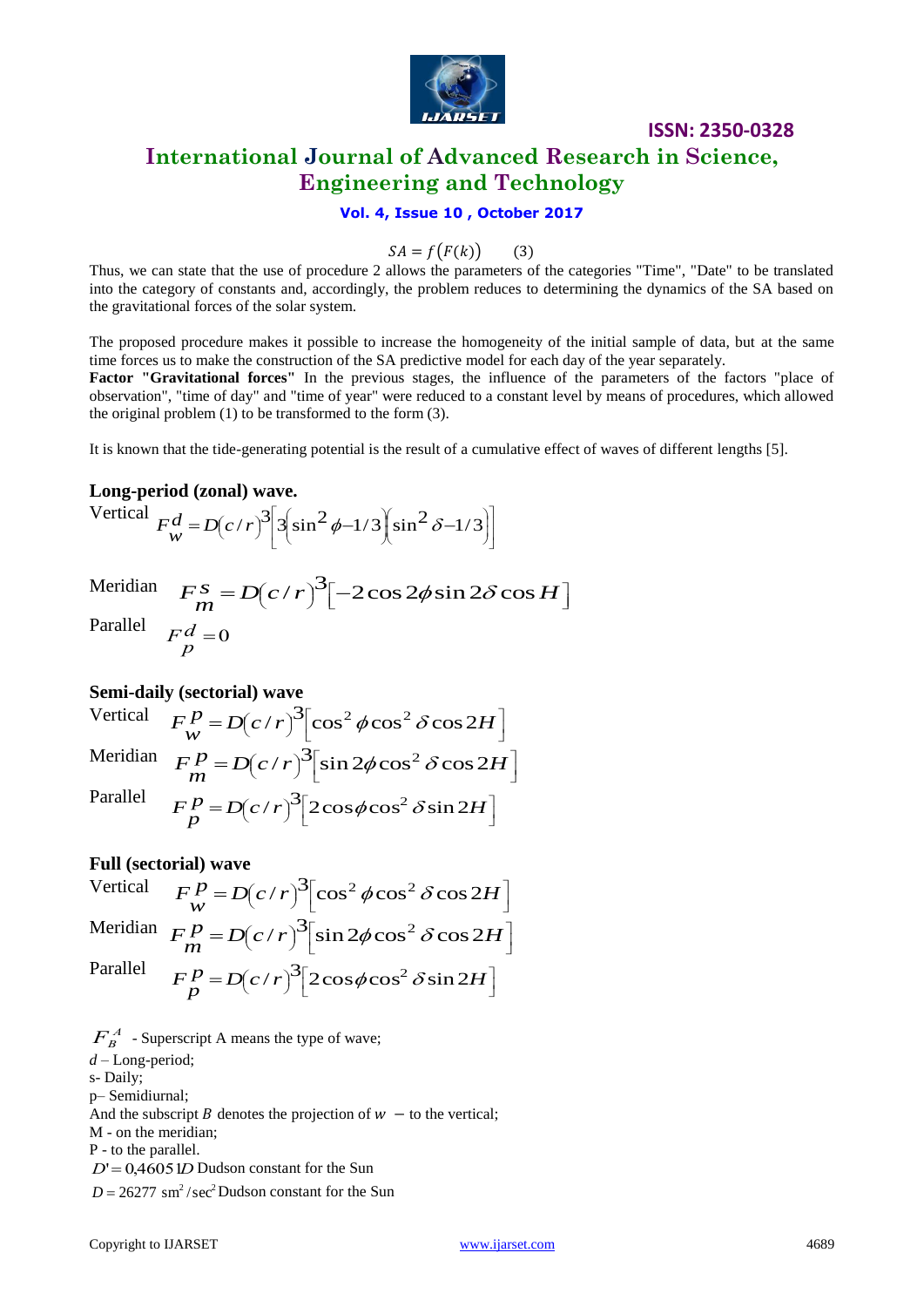

### **ISSN: 2350-0328 International Journal of Advanced Research in Science, Engineering and Technology**

#### **Vol. 4, Issue 10 , October 2017**

$$
SA = f(F(k)) \qquad (3)
$$

Thus, we can state that the use of procedure 2 allows the parameters of the categories "Time", "Date" to be translated into the category of constants and, accordingly, the problem reduces to determining the dynamics of the SA based on the gravitational forces of the solar system.

The proposed procedure makes it possible to increase the homogeneity of the initial sample of data, but at the same time forces us to make the construction of the SA predictive model for each day of the year separately.

**Factor "Gravitational forces"** In the previous stages, the influence of the parameters of the factors "place of observation", "time of day" and "time of year" were reduced to a constant level by means of procedures, which allowed the original problem (1) to be transformed to the form (3).

It is known that the tide-generating potential is the result of a cumulative effect of waves of different lengths [5].

#### **Long-period (zonal) wave.**

Vertical  $\overline{\phantom{a}}$ L ٦  $\vert \cdot$ L Γ  $\overline{\phantom{a}}$ J Г  $\parallel$ Y ſ ∥ الر )  $\overline{\phantom{a}}$ L ſ  $F_w^d = D(c/r)^3 \left[ 3 \left( \sin^2 \phi - 1/3 \right) \left( \sin^2 \delta - 1/3 \right) \right]$ 

Meridian  $)^{3}[-2\cos 2\phi\sin 2\delta\cos H]$  $F_m^s = D(c/r)^3 \left[ -2\cos 2\phi \sin 2\delta \cos H \right]$ Parallel  $\frac{d}{dt} = 0$ *p F*

#### **Semi-daily (sectorial) wave**

Vertical  $F_W^P = D(c/r)^3 \left[\cos^2 \phi \cos^2 \delta \cos 2H\right]$  $\left[\cos^2\phi\cos^2\delta\cos 2H\right]$  $)^{3}$  $\frac{p}{\sqrt{p}} = D(c/r)^{3} [\cos^{2} \phi \cos^{2} \delta \cos 2H]$  $F_W^P = D(c/r)^3 \left[\cos^2 \phi \cos^2 \delta \cos 2r\right]$ Meridian  $F_m^P = D(c/r)^3 \sin 2\phi \cos^2 \delta \cos 2H$  $\left[\sin 2\phi\cos^2\delta\cos 2H\right]$  $)^{3}$  $\frac{p}{m} = D(c/r)^{3} \sin 2\phi \cos^{2} \delta \cos 2\phi$  $F_m^P = D(c/r)^3 \sin 2\phi \cos^2 \delta \cos 2\phi$ Parallel  $\rfloor$  $\left[2\cos\phi\cos^2\delta\sin 2H\right]$  $\frac{p}{p}$  =  $D(c/r)^{3}$   $\left[2\cos\phi\cos^{2}\delta\sin 2H\right]$  $F_p^P = D(c/r)^3 [2\cos\phi\cos^2\delta\sin 2\theta]$ 

#### **Full (sectorial) wave**

Vertical  $\left[\cos^2\phi\cos^2\delta\cos 2H\right]$  $)^{3}$  $\frac{p}{\sqrt{p}} = D(c/r)^{3} [\cos^{2} \phi \cos^{2} \delta \cos 2H]$  $F_W^P = D(c/r)^3 \left[\cos^2 \phi \cos^2 \delta \cos 2\right]$ Meridian  $F_m^P = D(c/r)^3 \sin 2\phi \cos^2 \delta \cos 2H$  $\left[\sin 2\phi\cos^2\delta\cos 2H\right]$  $)^{3}$  $\frac{p}{m} = D(c/r)^{3} \sin 2\phi \cos^{2} \delta \cos 2H$  $F_m^P = D(c/r)^3 \sin 2\phi \cos^2 \delta \cos 2\phi$ Parallel  $\left[2\cos\phi\cos^2\delta\sin 2H\right]$  $\frac{p}{p}$  =  $D(c/r)^{3}$   $\left[2\cos\phi\cos^{2}\delta\sin 2H\right]$  $F_p^P = D(c/r)^3 [2\cos\phi\cos^2\delta\sin 2\theta]$ 

 $F_B^A$  - Superscript A means the type of wave; *d* – Long-period; s- Daily; p– Semidiurnal; And the subscript *B* denotes the projection of  $w -$  to the vertical;

M - on the meridian; P - to the parallel.

 $D' = 0,46051D$  Dudson constant for the Sun

 $D = 26277$  sm<sup>2</sup>/sec<sup>2</sup>Dudson constant for the Sun

 $\rfloor$ 

 $\rfloor$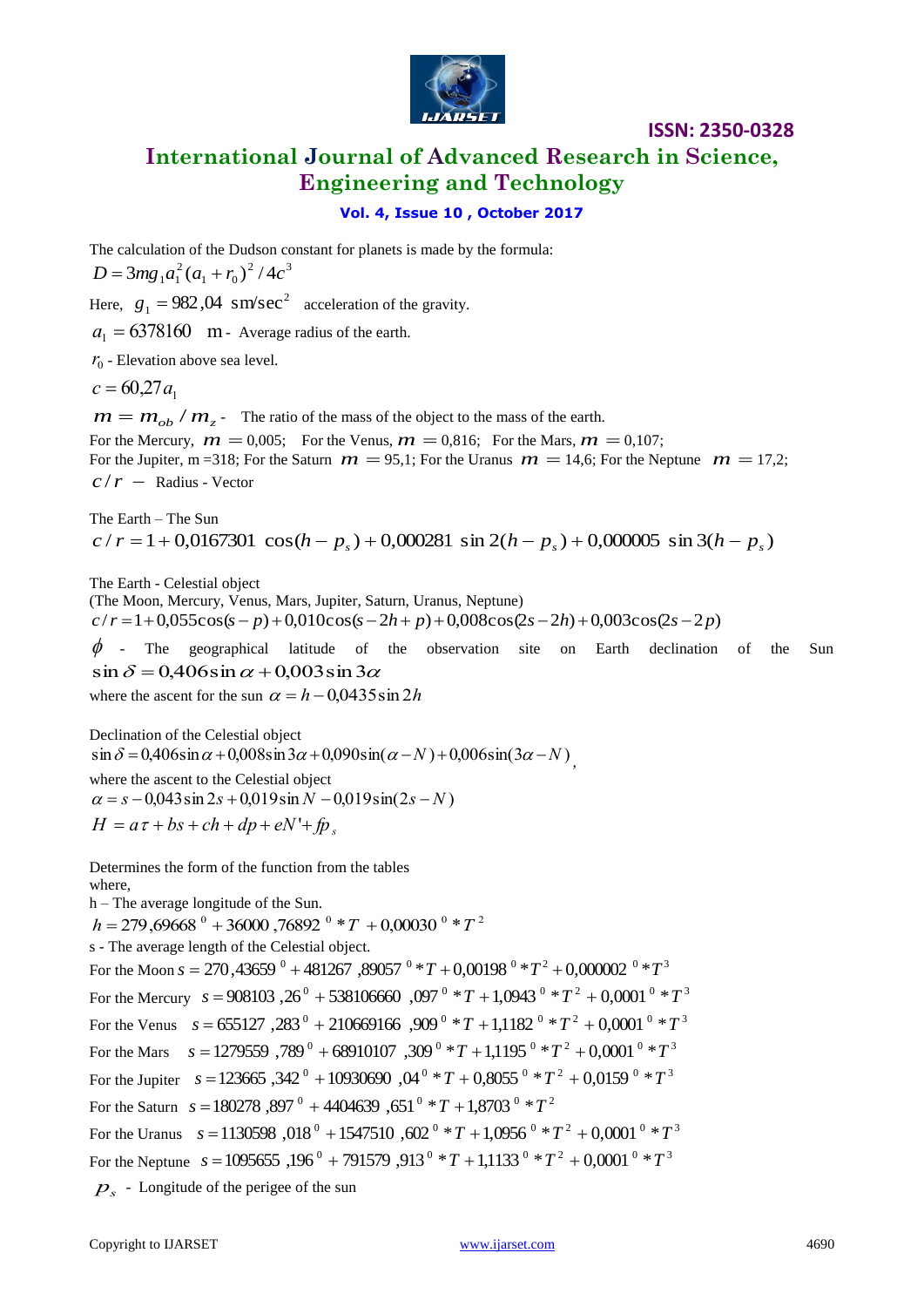

# **International Journal of Advanced Research in Science, Engineering and Technology**

**ISSN: 2350-0328**

#### **Vol. 4, Issue 10 , October 2017**

The calculation of the Dudson constant for planets is made by the formula:  $2/1a^3$  $D = 3mg_1a_1^2(a_1 + r_0)^2/4c$ Here,  $g_1 = 982,04 \text{ sm/sec}^2$  acceleration of the gravity.  $a_1 = 6378160$  m - Average radius of the earth.  $r_0$  - Elevation above sea level.  $c = 60,27a_1$  $m = m_{ob} / m_z$  - The ratio of the mass of the object to the mass of the earth. For the Mercury,  $\dot{m} = 0.005$ ; For the Venus,  $m = 0.816$ ; For the Mars,  $m = 0.107$ ; For the Jupiter, m =318; For the Saturn  $m = 95,1$ ; For the Uranus  $m = 14,6$ ; For the Neptune  $m = 17,2$ ;  $c/r$  – Radius - Vector

The Earth – The Sun  $c / r = 1 + 0.0167301 \cos(h - p_s) + 0.000281 \sin 2(h - p_s) + 0.000005 \sin 3(h - p_s)$ 

The Earth - Celestial object (The Moon, Mercury, Venus, Mars, Jupiter, Saturn, Uranus, Neptune)  $c/r = 1+0.055\cos(s-p) + 0.010\cos(s-2h+p) + 0.008\cos(2s-2h) + 0.003\cos(2s-2p)$  $\phi$  - The geographical latitude of the observation site on Earth declination of the Sun

 $\sin \delta = 0.406 \sin \alpha + 0.003 \sin 3\alpha$ where the ascent for the sun  $\alpha = h - 0.0435 \sin 2h$ 

Declination of the Celestial object  $\sin \delta = 0,406 \sin \alpha + 0,008 \sin 3\alpha + 0,090 \sin(\alpha - N) + 0,006 \sin(3\alpha - N)$ where the ascent to the Celestial object  $\alpha = s - 0.043 \sin 2s + 0.019 \sin N - 0.019 \sin(2s - N)$  $H = a\tau + bs + ch + dp + eN' + fp$ .

Determines the form of the function from the tables where,

h – The average longitude of the Sun.

 $h = 279,69668$ <sup>0</sup> + 36000,76892<sup>0</sup> \*  $T$  + 0,00030<sup>0</sup> \*  $T$ <sup>2</sup>

s - The average length of the Celestial object.

For the Moon  $s = 270,43659$  <sup>0</sup> + 481267 ,89057 <sup>0</sup> \*  $T$  + 0,00198 <sup>0</sup> \*  $T$ <sup>2</sup> + 0,000002 <sup>0</sup> \*  $T$ <sup>3</sup> For the Mercury  $s = 908103, 26^{\circ} + 538106660, 097^{\circ} * T + 1,0943^{\circ} * T^2 + 0,0001^{\circ} * T^3$ For the Venus  $s = 655127$ ,  $283^{\circ} + 210669166$ ,  $909^{\circ} * T + 1,1182^{\circ} * T^2 + 0,0001^{\circ} * T^3$ For the Mars  $s = 1279559,789^{\circ} + 68910107,309^{\circ} * T + 1,1195^{\circ} * T^2 + 0,0001^{\circ} * T^3$ For the Jupiter  $s = 123665$ ,  $342^{\circ} + 10930690$ ,  $04^{\circ} * T + 0,8055^{\circ} * T^2 + 0,0159^{\circ} * T^3$ For the Saturn  $s = 180278$ ,  $897^{\circ} + 4404639$ ,  $651^{\circ} * T + 1,8703^{\circ} * T^2$ For the Uranus  $s = 1130598$ ,  $018^{\circ} + 1547510$ ,  $602^{\circ} * T + 1,0956^{\circ} * T^2 + 0,0001^{\circ} * T^3$ For the Neptune  $s = 1095655, 196^{\circ} + 791579, 913^{\circ} * T + 1,1133^{\circ} * T^2 + 0,0001^{\circ} * T^3$ *ps* - Longitude of the perigee of the sun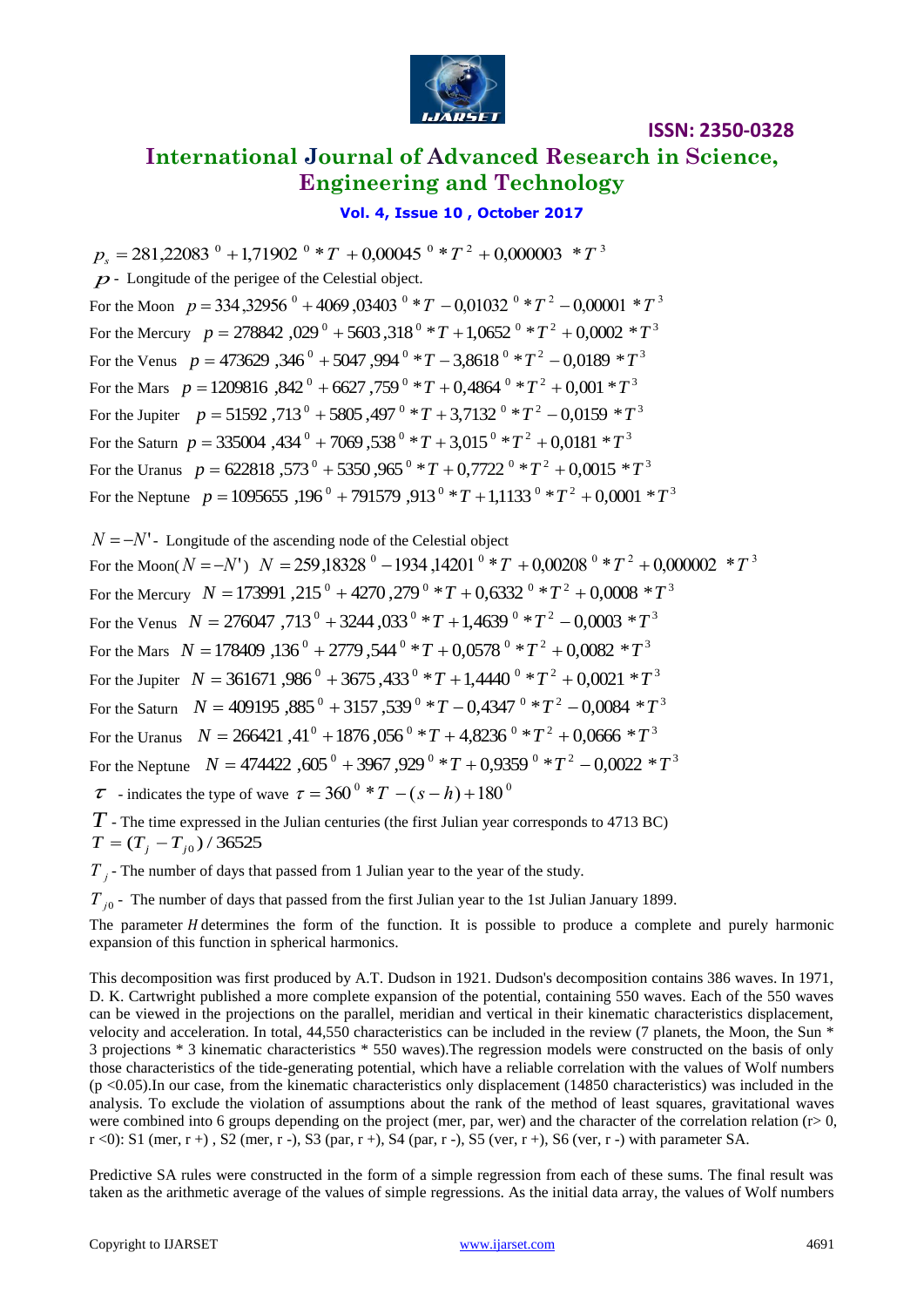

# **International Journal of Advanced Research in Science, Engineering and Technology**

#### **Vol. 4, Issue 10 , October 2017**

 $p_s = 281,22083$ <sup>0</sup> + 1,71902<sup>0</sup> \*  $T$  + 0,00045<sup>0</sup> \*  $T$ <sup>2</sup> + 0,000003<sup>\*</sup> $T$ <sup>3</sup> *p*- Longitude of the perigee of the Celestial object. For the Moon  $p = 334,32956^{\circ} + 4069,03403^{\circ} * T - 0,01032^{\circ} * T^2 - 0,00001 * T^3$ For the Mercury  $p = 278842,029^{\circ} + 5603,318^{\circ} * T + 1,0652^{\circ} * T^2 + 0,0002 * T^3$ For the Venus  $p = 473629,346^{\circ} + 5047,994^{\circ} * T - 3,8618^{\circ} * T^2 - 0,0189^{\circ} * T^3$ For the Mars  $p = 1209816$ ,  $842^{\circ} + 6627$ ,  $759^{\circ} * T + 0,4864^{\circ} * T^2 + 0,001 * T^3$ For the Jupiter  $p = 51592,713^{\circ} + 5805,497^{\circ} * T + 3,7132^{\circ} * T^2 - 0,0159 * T^3$ For the Saturn  $p = 335004$  ,  $434^{\circ} + 7069$  ,  $538^{\circ} * T + 3,015^{\circ} * T^2 + 0,0181 * T^3$ For the Uranus  $p = 622818$ ,  $573^{\circ} + 5350$ ,  $965^{\circ} * T + 0,7722^{\circ} * T^2 + 0,0015 * T^3$ For the Neptune  $p = 1095655, 196^{\circ} + 791579, 913^{\circ} * T + 1,1133^{\circ} * T^2 + 0,0001 * T^3$ 

 $N = -N'$ - Longitude of the ascending node of the Celestial object For the Moon(  $N = -N'$  )  $N = 259,18328$  <sup>0</sup>  $- 1934,14201$  <sup>0</sup>  $*$   $T + 0,00208$  <sup>0</sup>  $*$   $T$  <sup>2</sup>  $+ 0,000002$   $*$   $T$  <sup>3</sup> For the Mercury  $N = 173991$  ,  $215^{\circ} + 4270$  ,  $279^{\circ} * T + 0,6332^{\circ} * T^2 + 0,0008 * T^3$ For the Venus  $N = 276047$ ,  $713^{\circ} + 3244$ ,  $033^{\circ} * T + 1,4639^{\circ} * T^2 - 0,0003 * T^3$ For the Mars  $N = 178409$ ,  $136^{\circ} + 2779$ ,  $544^{\circ} * T + 0,0578^{\circ} * T^2 + 0,0082 * T^3$ For the Jupiter  $N = 361671,986^{\circ} + 3675,433^{\circ} * T + 1,4440^{\circ} * T^2 + 0,0021 * T^3$ For the Saturn  $N = 409195$ ,  $885^\circ + 3157$ ,  $539^\circ * T - 0,4347^\circ * T^2 - 0,0084 * T^3$ For the Uranus  $N = 266421,41^0 + 1876,056^0 * T + 4,8236^0 * T^2 + 0,0666 * T^3$ For the Neptune  $N = 474422$ ,  $605^{\circ} + 3967$ ,  $929^{\circ} * T + 0,9359^{\circ} * T^2 - 0,0022 * T^3$  $\tau$  - indicates the type of wave  $\tau = 360^\circ * T - (s - h) + 180^\circ$ 

*T* - The time expressed in the Julian centuries (the first Julian year corresponds to 4713 BC)  $T = (T_j - T_{j0}) / 36525$ 

*T j* - The number of days that passed from 1 Julian year to the year of the study.

*T*<sub>j0</sub> - The number of days that passed from the first Julian year to the 1st Julian January 1899.

The parameter H determines the form of the function. It is possible to produce a complete and purely harmonic expansion of this function in spherical harmonics.

This decomposition was first produced by A.T. Dudson in 1921. Dudson's decomposition contains 386 waves. In 1971, D. K. Cartwright published a more complete expansion of the potential, containing 550 waves. Each of the 550 waves can be viewed in the projections on the parallel, meridian and vertical in their kinematic characteristics displacement, velocity and acceleration. In total, 44,550 characteristics can be included in the review (7 planets, the Moon, the Sun \* 3 projections \* 3 kinematic characteristics \* 550 waves).The regression models were constructed on the basis of only those characteristics of the tide-generating potential, which have a reliable correlation with the values of Wolf numbers  $(p \lt 0.05)$ . In our case, from the kinematic characteristics only displacement (14850 characteristics) was included in the analysis. To exclude the violation of assumptions about the rank of the method of least squares, gravitational waves were combined into 6 groups depending on the project (mer, par, wer) and the character of the correlation relation ( $r > 0$ ,  $r$  <0): S1 (mer, r +), S2 (mer, r -), S3 (par, r +), S4 (par, r -), S5 (ver, r +), S6 (ver, r -) with parameter SA.

Predictive SA rules were constructed in the form of a simple regression from each of these sums. The final result was taken as the arithmetic average of the values of simple regressions. As the initial data array, the values of Wolf numbers